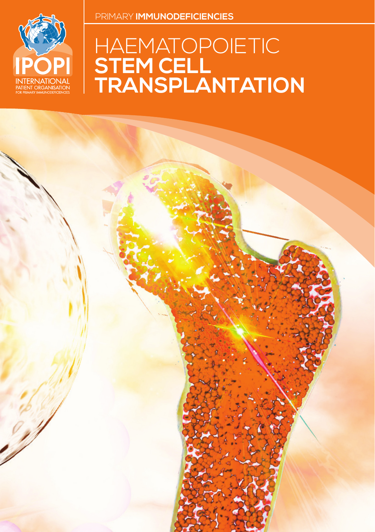

# HAEMATOPOIETIC **STEM CELL TRANSPLANTATION**

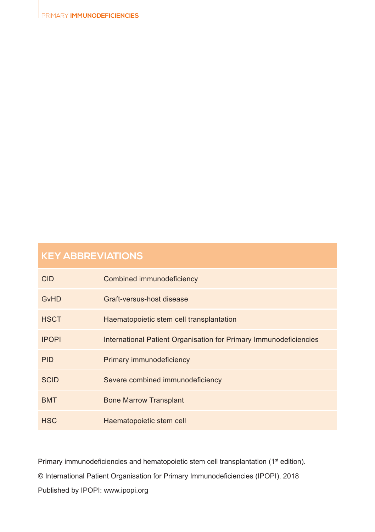| <b>CID</b>   | Combined immunodeficiency                                         |
|--------------|-------------------------------------------------------------------|
| GvHD         | Graft-versus-host disease                                         |
| <b>HSCT</b>  | Haematopoietic stem cell transplantation                          |
| <b>IPOPI</b> | International Patient Organisation for Primary Immunodeficiencies |
| <b>PID</b>   | Primary immunodeficiency                                          |
| <b>SCID</b>  | Severe combined immunodeficiency                                  |
| <b>BMT</b>   | <b>Bone Marrow Transplant</b>                                     |
| <b>HSC</b>   | Haematopoietic stem cell                                          |

Primary immunodeficiencies and hematopoietic stem cell transplantation (1st edition). © International Patient Organisation for Primary Immunodeficiencies (IPOPI), 2018 Published by IPOPI: www.ipopi.org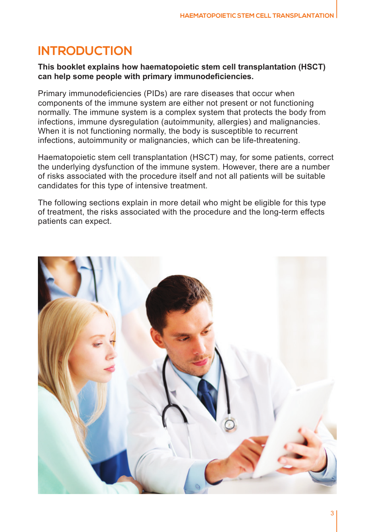# **INTRODUCTION**

#### **This booklet explains how haematopoietic stem cell transplantation (HSCT) can help some people with primary immunodeficiencies.**

Primary immunodeficiencies (PIDs) are rare diseases that occur when components of the immune system are either not present or not functioning normally. The immune system is a complex system that protects the body from infections, immune dysregulation (autoimmunity, allergies) and malignancies. When it is not functioning normally, the body is susceptible to recurrent infections, autoimmunity or malignancies, which can be life-threatening.

Haematopoietic stem cell transplantation (HSCT) may, for some patients, correct the underlying dysfunction of the immune system. However, there are a number of risks associated with the procedure itself and not all patients will be suitable candidates for this type of intensive treatment.

The following sections explain in more detail who might be eligible for this type of treatment, the risks associated with the procedure and the long-term effects patients can expect.

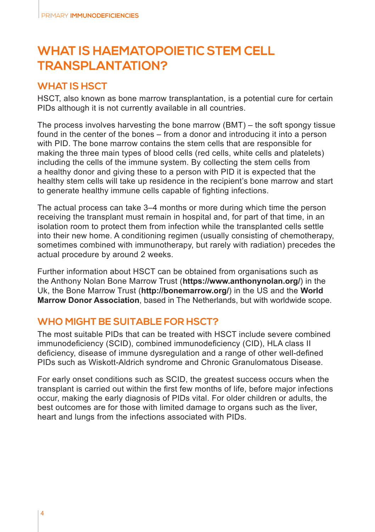# **WHAT IS HAEMATOPOIETIC STEM CELL TRANSPLANTATION?**

#### **WHAT IS HSCT**

HSCT, also known as bone marrow transplantation, is a potential cure for certain PIDs although it is not currently available in all countries.

The process involves harvesting the bone marrow (BMT) – the soft spongy tissue found in the center of the bones – from a donor and introducing it into a person with PID. The bone marrow contains the stem cells that are responsible for making the three main types of blood cells (red cells, white cells and platelets) including the cells of the immune system. By collecting the stem cells from a healthy donor and giving these to a person with PID it is expected that the healthy stem cells will take up residence in the recipient's bone marrow and start to generate healthy immune cells capable of fighting infections.

The actual process can take 3–4 months or more during which time the person receiving the transplant must remain in hospital and, for part of that time, in an isolation room to protect them from infection while the transplanted cells settle into their new home. A conditioning regimen (usually consisting of chemotherapy, sometimes combined with immunotherapy, but rarely with radiation) precedes the actual procedure by around 2 weeks.

Further information about HSCT can be obtained from organisations such as the Anthony Nolan Bone Marrow Trust (**https://www.anthonynolan.org/**) in the Uk, the Bone Marrow Trust (**http://bonemarrow.org/**) in the US and the **World Marrow Donor Association**, based in The Netherlands, but with worldwide scope.

#### **WHO MIGHT BE SUITABLE FOR HSCT?**

The most suitable PIDs that can be treated with HSCT include severe combined immunodeficiency (SCID), combined immunodeficiency (CID), HLA class II deficiency, disease of immune dysregulation and a range of other well-defined PIDs such as Wiskott-Aldrich syndrome and Chronic Granulomatous Disease.

For early onset conditions such as SCID, the greatest success occurs when the transplant is carried out within the first few months of life, before major infections occur, making the early diagnosis of PIDs vital. For older children or adults, the best outcomes are for those with limited damage to organs such as the liver, heart and lungs from the infections associated with PIDs.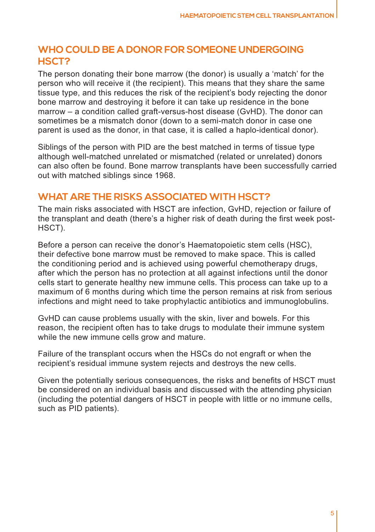#### **WHO COULD BE A DONOR FOR SOMEONE UNDERGOING HSCT?**

The person donating their bone marrow (the donor) is usually a 'match' for the person who will receive it (the recipient). This means that they share the same tissue type, and this reduces the risk of the recipient's body rejecting the donor bone marrow and destroying it before it can take up residence in the bone marrow – a condition called graft-versus-host disease (GvHD). The donor can sometimes be a mismatch donor (down to a semi-match donor in case one parent is used as the donor, in that case, it is called a haplo-identical donor).

Siblings of the person with PID are the best matched in terms of tissue type although well-matched unrelated or mismatched (related or unrelated) donors can also often be found. Bone marrow transplants have been successfully carried out with matched siblings since 1968.

#### **WHAT ARE THE RISKS ASSOCIATED WITH HSCT?**

The main risks associated with HSCT are infection, GvHD, rejection or failure of the transplant and death (there's a higher risk of death during the first week post-HSCT).

Before a person can receive the donor's Haematopoietic stem cells (HSC), their defective bone marrow must be removed to make space. This is called the conditioning period and is achieved using powerful chemotherapy drugs, after which the person has no protection at all against infections until the donor cells start to generate healthy new immune cells. This process can take up to a maximum of 6 months during which time the person remains at risk from serious infections and might need to take prophylactic antibiotics and immunoglobulins.

GvHD can cause problems usually with the skin, liver and bowels. For this reason, the recipient often has to take drugs to modulate their immune system while the new immune cells grow and mature.

Failure of the transplant occurs when the HSCs do not engraft or when the recipient's residual immune system rejects and destroys the new cells.

Given the potentially serious consequences, the risks and benefits of HSCT must be considered on an individual basis and discussed with the attending physician (including the potential dangers of HSCT in people with little or no immune cells, such as PID patients).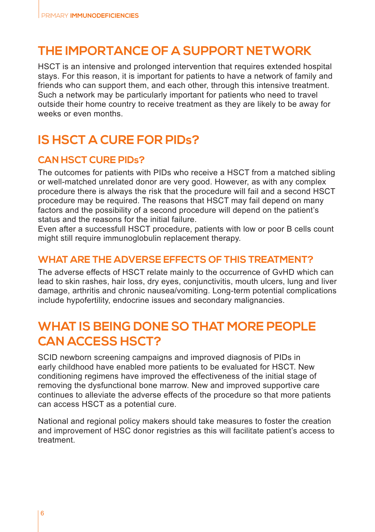### **THE IMPORTANCE OF A SUPPORT NETWORK**

HSCT is an intensive and prolonged intervention that requires extended hospital stays. For this reason, it is important for patients to have a network of family and friends who can support them, and each other, through this intensive treatment. Such a network may be particularly important for patients who need to travel outside their home country to receive treatment as they are likely to be away for weeks or even months.

# **IS HSCT A CURE FOR PIDs?**

#### **CAN HSCT CURE PIDs?**

The outcomes for patients with PIDs who receive a HSCT from a matched sibling or well-matched unrelated donor are very good. However, as with any complex procedure there is always the risk that the procedure will fail and a second HSCT procedure may be required. The reasons that HSCT may fail depend on many factors and the possibility of a second procedure will depend on the patient's status and the reasons for the initial failure.

Even after a successfull HSCT procedure, patients with low or poor B cells count might still require immunoglobulin replacement therapy.

#### **WHAT ARE THE ADVERSE EFFECTS OF THIS TREATMENT?**

The adverse effects of HSCT relate mainly to the occurrence of GvHD which can lead to skin rashes, hair loss, dry eyes, conjunctivitis, mouth ulcers, lung and liver damage, arthritis and chronic nausea/vomiting. Long-term potential complications include hypofertility, endocrine issues and secondary malignancies.

# **WHAT IS BEING DONE SO THAT MORE PEOPLE CAN ACCESS HSCT?**

SCID newborn screening campaigns and improved diagnosis of PIDs in early childhood have enabled more patients to be evaluated for HSCT. New conditioning regimens have improved the effectiveness of the initial stage of removing the dysfunctional bone marrow. New and improved supportive care continues to alleviate the adverse effects of the procedure so that more patients can access HSCT as a potential cure.

National and regional policy makers should take measures to foster the creation and improvement of HSC donor registries as this will facilitate patient's access to treatment.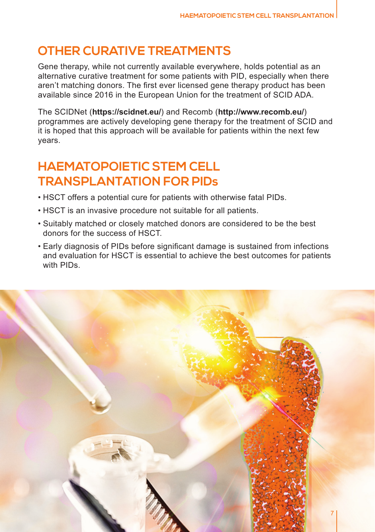# **OTHER CURATIVE TREATMENTS**

Gene therapy, while not currently available everywhere, holds potential as an alternative curative treatment for some patients with PID, especially when there aren't matching donors. The first ever licensed gene therapy product has been available since 2016 in the European Union for the treatment of SCID ADA.

The SCIDNet (**https://scidnet.eu/**) and Recomb (**http://www.recomb.eu/**) programmes are actively developing gene therapy for the treatment of SCID and it is hoped that this approach will be available for patients within the next few years.

# **HAEMATOPOIETIC STEM CELL TRANSPLANTATION FOR PIDs**

- HSCT offers a potential cure for patients with otherwise fatal PIDs.
- HSCT is an invasive procedure not suitable for all patients.
- Suitably matched or closely matched donors are considered to be the best donors for the success of HSCT.
- Early diagnosis of PIDs before significant damage is sustained from infections and evaluation for HSCT is essential to achieve the best outcomes for patients with PIDs.